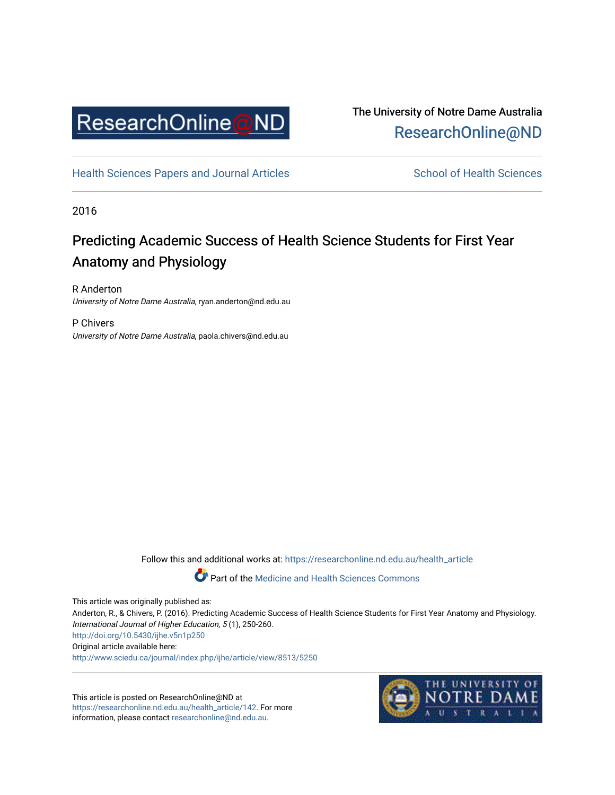

The University of Notre Dame Australia [ResearchOnline@ND](https://researchonline.nd.edu.au/) 

[Health Sciences Papers and Journal Articles](https://researchonline.nd.edu.au/health_article) School of Health Sciences

2016

## Predicting Academic Success of Health Science Students for First Year Anatomy and Physiology

R Anderton University of Notre Dame Australia, ryan.anderton@nd.edu.au

P Chivers University of Notre Dame Australia, paola.chivers@nd.edu.au

Follow this and additional works at: [https://researchonline.nd.edu.au/health\\_article](https://researchonline.nd.edu.au/health_article?utm_source=researchonline.nd.edu.au%2Fhealth_article%2F142&utm_medium=PDF&utm_campaign=PDFCoverPages)

Part of the [Medicine and Health Sciences Commons](http://network.bepress.com/hgg/discipline/648?utm_source=researchonline.nd.edu.au%2Fhealth_article%2F142&utm_medium=PDF&utm_campaign=PDFCoverPages)

This article was originally published as:

Anderton, R., & Chivers, P. (2016). Predicting Academic Success of Health Science Students for First Year Anatomy and Physiology. International Journal of Higher Education, 5 (1), 250-260. <http://doi.org/10.5430/ijhe.v5n1p250>

Original article available here:

<http://www.sciedu.ca/journal/index.php/ijhe/article/view/8513/5250>

This article is posted on ResearchOnline@ND at [https://researchonline.nd.edu.au/health\\_article/142](https://researchonline.nd.edu.au/health_article/142). For more information, please contact [researchonline@nd.edu.au.](mailto:researchonline@nd.edu.au)

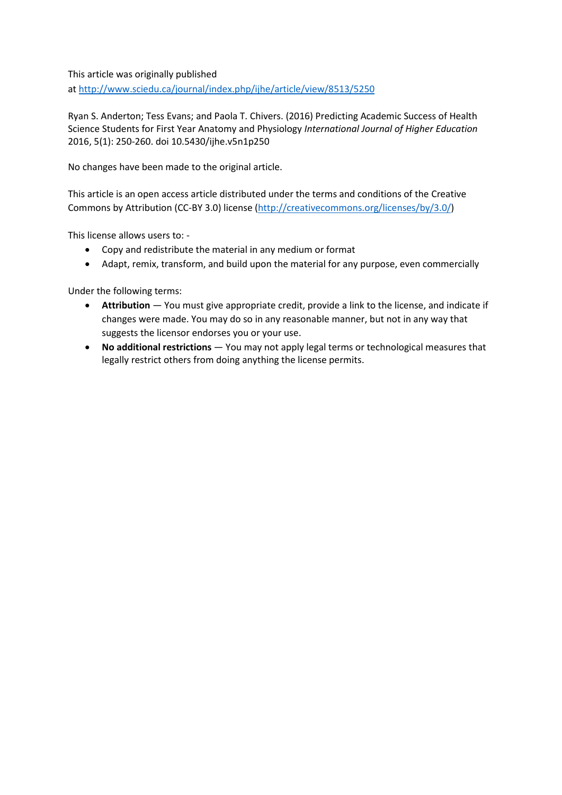This article was originally published at<http://www.sciedu.ca/journal/index.php/ijhe/article/view/8513/5250>

Ryan S. Anderton; Tess Evans; and Paola T. Chivers. (2016) Predicting Academic Success of Health Science Students for First Year Anatomy and Physiology *International Journal of Higher Education* 2016, 5(1): 250-260. doi 10.5430/ijhe.v5n1p250

No changes have been made to the original article.

This article is an open access article distributed under the terms and conditions of the Creative Commons by Attribution (CC-BY 3.0) license [\(http://creativecommons.org/licenses/by/3.0/\)](http://creativecommons.org/licenses/by/3.0/)

This license allows users to: -

- Copy and redistribute the material in any medium or format
- Adapt, remix, transform, and build upon the material for any purpose, even commercially

Under the following terms:

- **Attribution** You must give [appropriate credit,](http://creativecommons.org/licenses/by/3.0/) provide a link to the license, and [indicate if](http://creativecommons.org/licenses/by/3.0/)  [changes were made.](http://creativecommons.org/licenses/by/3.0/) You may do so in any reasonable manner, but not in any way that suggests the licensor endorses you or your use.
- **No additional restrictions** You may not apply legal terms or [technological measures](http://creativecommons.org/licenses/by/3.0/) that legally restrict others from doing anything the license permits.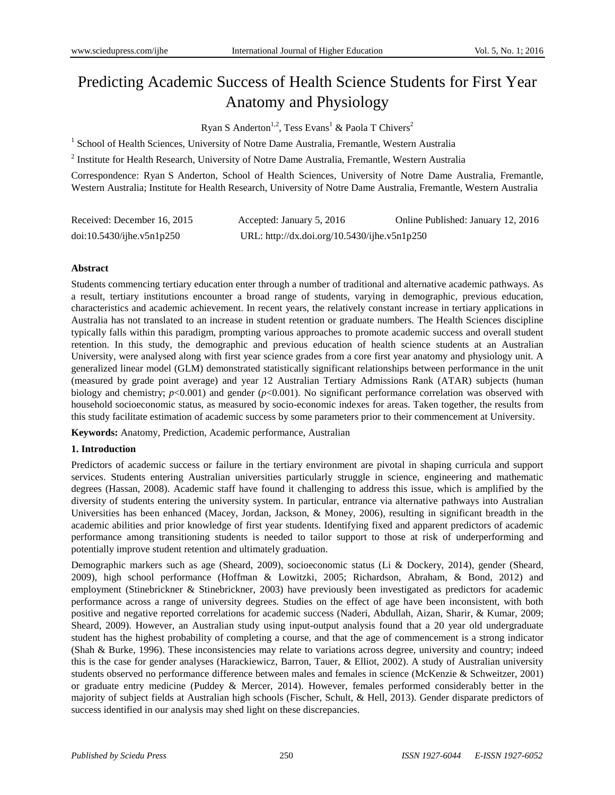# Predicting Academic Success of Health Science Students for First Year Anatomy and Physiology

Ryan S Anderton<sup>1,2</sup>, Tess Evans<sup>1</sup> & Paola T Chivers<sup>2</sup>

<sup>1</sup> School of Health Sciences, University of Notre Dame Australia, Fremantle, Western Australia

<sup>2</sup> Institute for Health Research, University of Notre Dame Australia, Fremantle, Western Australia

Correspondence: Ryan S Anderton, School of Health Sciences, University of Notre Dame Australia, Fremantle, Western Australia; Institute for Health Research, University of Notre Dame Australia, Fremantle, Western Australia

| Received: December 16, 2015 | Accepted: January 5, 2016                    | Online Published: January 12, 2016 |
|-----------------------------|----------------------------------------------|------------------------------------|
| doi:10.5430/jhe.v5n1p250    | URL: http://dx.doi.org/10.5430/ijhe.v5n1p250 |                                    |

### **Abstract**

Students commencing tertiary education enter through a number of traditional and alternative academic pathways. As a result, tertiary institutions encounter a broad range of students, varying in demographic, previous education, characteristics and academic achievement. In recent years, the relatively constant increase in tertiary applications in Australia has not translated to an increase in student retention or graduate numbers. The Health Sciences discipline typically falls within this paradigm, prompting various approaches to promote academic success and overall student retention. In this study, the demographic and previous education of health science students at an Australian University, were analysed along with first year science grades from a core first year anatomy and physiology unit. A generalized linear model (GLM) demonstrated statistically significant relationships between performance in the unit (measured by grade point average) and year 12 Australian Tertiary Admissions Rank (ATAR) subjects (human biology and chemistry; *p*<0.001) and gender (*p*<0.001). No significant performance correlation was observed with household socioeconomic status, as measured by socio-economic indexes for areas. Taken together, the results from this study facilitate estimation of academic success by some parameters prior to their commencement at University.

**Keywords:** Anatomy, Prediction, Academic performance, Australian

## **1. Introduction**

Predictors of academic success or failure in the tertiary environment are pivotal in shaping curricula and support services. Students entering Australian universities particularly struggle in science, engineering and mathematic degrees (Hassan, 2008). Academic staff have found it challenging to address this issue, which is amplified by the diversity of students entering the university system. In particular, entrance via alternative pathways into Australian Universities has been enhanced (Macey, Jordan, Jackson, & Money, 2006), resulting in significant breadth in the academic abilities and prior knowledge of first year students. Identifying fixed and apparent predictors of academic performance among transitioning students is needed to tailor support to those at risk of underperforming and potentially improve student retention and ultimately graduation.

Demographic markers such as age (Sheard, 2009), socioeconomic status (Li & Dockery, 2014), gender (Sheard, 2009), high school performance (Hoffman & Lowitzki, 2005; Richardson, Abraham, & Bond, 2012) and employment (Stinebrickner & [Stinebrickner,](#page-12-0) 2003) have previously been investigated as predictors for academic performance across a range of university degrees. Studies on the effect of age have been inconsistent, with both positive and negative reported correlations for academic success (Naderi, Abdullah, Aizan, Sharir, & Kumar, 2009; Sheard, 2009). However, an Australian study using input-output analysis found that a 20 year old undergraduate student has the highest probability of completing a course, and that the age of commencement is a strong indicator (Shah & Burke, 1996). These inconsistencies may relate to variations across degree, university and country; indeed this is the case for gender analyses (Harackiewicz, Barron, Tauer, & Elliot, 2002). A study of Australian university students observed no performance difference between males and females in science (McKenzie & Schweitzer, 2001) or graduate entry medicine (Puddey & Mercer, 2014). However, females performed considerably better in the majority of subject fields at Australian high schools (Fischer, Schult, & Hell, 2013). Gender disparate predictors of success identified in our analysis may shed light on these discrepancies.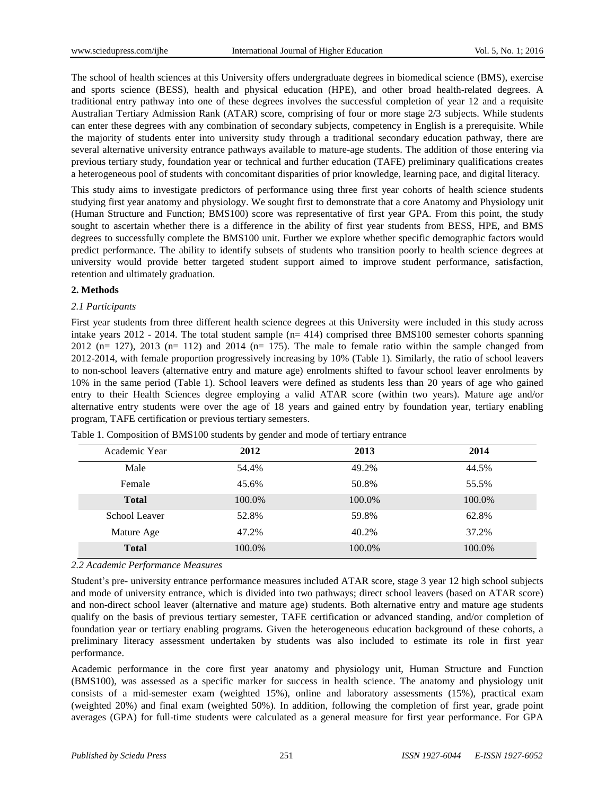The school of health sciences at this University offers undergraduate degrees in biomedical science (BMS), exercise and sports science (BESS), health and physical education (HPE), and other broad health-related degrees. A traditional entry pathway into one of these degrees involves the successful completion of year 12 and a requisite Australian Tertiary Admission Rank (ATAR) score, comprising of four or more stage 2/3 subjects. While students can enter these degrees with any combination of secondary subjects, competency in English is a prerequisite. While the majority of students enter into university study through a traditional secondary education pathway, there are several alternative university entrance pathways available to mature-age students. The addition of those entering via previous tertiary study, foundation year or technical and further education (TAFE) preliminary qualifications creates a heterogeneous pool of students with concomitant disparities of prior knowledge, learning pace, and digital literacy.

This study aims to investigate predictors of performance using three first year cohorts of health science students studying first year anatomy and physiology. We sought first to demonstrate that a core Anatomy and Physiology unit (Human Structure and Function; BMS100) score was representative of first year GPA. From this point, the study sought to ascertain whether there is a difference in the ability of first year students from BESS, HPE, and BMS degrees to successfully complete the BMS100 unit. Further we explore whether specific demographic factors would predict performance. The ability to identify subsets of students who transition poorly to health science degrees at university would provide better targeted student support aimed to improve student performance, satisfaction, retention and ultimately graduation.

### **2. Methods**

## *2.1 Participants*

First year students from three different health science degrees at this University were included in this study across intake years  $2012 - 2014$ . The total student sample ( $n= 414$ ) comprised three BMS100 semester cohorts spanning 2012 (n= 127), 2013 (n= 112) and 2014 (n= 175). The male to female ratio within the sample changed from 2012-2014, with female proportion progressively increasing by 10% (Table 1). Similarly, the ratio of school leavers to non-school leavers (alternative entry and mature age) enrolments shifted to favour school leaver enrolments by 10% in the same period (Table 1). School leavers were defined as students less than 20 years of age who gained entry to their Health Sciences degree employing a valid ATAR score (within two years). Mature age and/or alternative entry students were over the age of 18 years and gained entry by foundation year, tertiary enabling program, TAFE certification or previous tertiary semesters.

| Academic Year | 2012   | 2013   | 2014   |
|---------------|--------|--------|--------|
| Male          | 54.4%  | 49.2%  | 44.5%  |
| Female        | 45.6%  | 50.8%  | 55.5%  |
| <b>Total</b>  | 100.0% | 100.0% | 100.0% |
| School Leaver | 52.8%  | 59.8%  | 62.8%  |
| Mature Age    | 47.2%  | 40.2%  | 37.2%  |
| <b>Total</b>  | 100.0% | 100.0% | 100.0% |

Table 1. Composition of BMS100 students by gender and mode of tertiary entrance

### *2.2 Academic Performance Measures*

Student's pre- university entrance performance measures included ATAR score, stage 3 year 12 high school subjects and mode of university entrance, which is divided into two pathways; direct school leavers (based on ATAR score) and non-direct school leaver (alternative and mature age) students. Both alternative entry and mature age students qualify on the basis of previous tertiary semester, TAFE certification or advanced standing, and/or completion of foundation year or tertiary enabling programs. Given the heterogeneous education background of these cohorts, a preliminary literacy assessment undertaken by students was also included to estimate its role in first year performance.

Academic performance in the core first year anatomy and physiology unit, Human Structure and Function (BMS100), was assessed as a specific marker for success in health science. The anatomy and physiology unit consists of a mid-semester exam (weighted 15%), online and laboratory assessments (15%), practical exam (weighted 20%) and final exam (weighted 50%). In addition, following the completion of first year, grade point averages (GPA) for full-time students were calculated as a general measure for first year performance. For GPA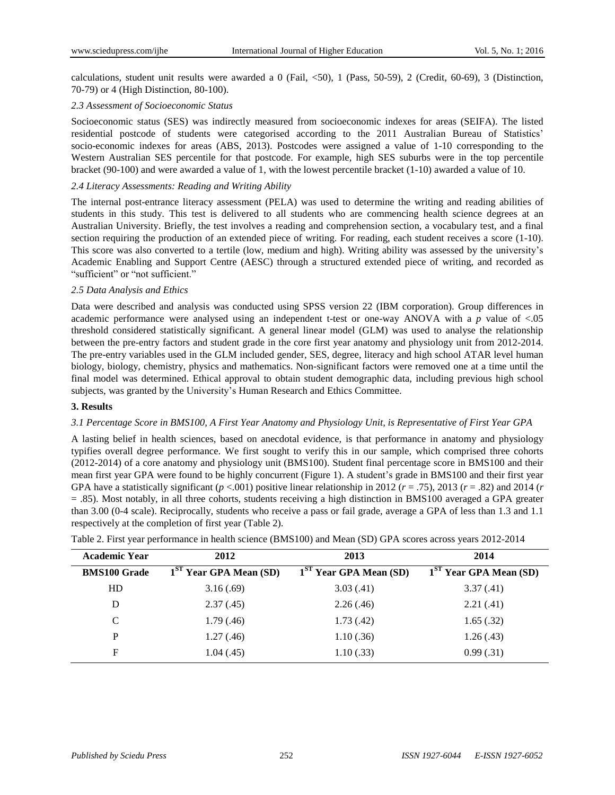calculations, student unit results were awarded a 0 (Fail, <50), 1 (Pass, 50-59), 2 (Credit, 60-69), 3 (Distinction, 70-79) or 4 (High Distinction, 80-100).

### *2.3 Assessment of Socioeconomic Status*

Socioeconomic status (SES) was indirectly measured from socioeconomic indexes for areas (SEIFA). The listed residential postcode of students were categorised according to the 2011 Australian Bureau of Statistics' socio-economic indexes for areas (ABS, 2013). Postcodes were assigned a value of 1-10 corresponding to the Western Australian SES percentile for that postcode. For example, high SES suburbs were in the top percentile bracket (90-100) and were awarded a value of 1, with the lowest percentile bracket (1-10) awarded a value of 10.

#### *2.4 Literacy Assessments: Reading and Writing Ability*

The internal post-entrance literacy assessment (PELA) was used to determine the writing and reading abilities of students in this study. This test is delivered to all students who are commencing health science degrees at an Australian University. Briefly, the test involves a reading and comprehension section, a vocabulary test, and a final section requiring the production of an extended piece of writing. For reading, each student receives a score (1-10). This score was also converted to a tertile (low, medium and high). Writing ability was assessed by the university's Academic Enabling and Support Centre (AESC) through a structured extended piece of writing, and recorded as "sufficient" or "not sufficient."

### *2.5 Data Analysis and Ethics*

Data were described and analysis was conducted using SPSS version 22 (IBM corporation). Group differences in academic performance were analysed using an independent t-test or one-way ANOVA with a *p* value of <.05 threshold considered statistically significant. A general linear model (GLM) was used to analyse the relationship between the pre-entry factors and student grade in the core first year anatomy and physiology unit from 2012-2014. The pre-entry variables used in the GLM included gender, SES, degree, literacy and high school ATAR level human biology, biology, chemistry, physics and mathematics. Non-significant factors were removed one at a time until the final model was determined. Ethical approval to obtain student demographic data, including previous high school subjects, was granted by the University's Human Research and Ethics Committee.

### **3. Results**

#### 3.1 Percentage Score in BMS100, A First Year Anatomy and Physiology Unit, is Representative of First Year GPA

A lasting belief in health sciences, based on anecdotal evidence, is that performance in anatomy and physiology typifies overall degree performance. We first sought to verify this in our sample, which comprised three cohorts (2012-2014) of a core anatomy and physiology unit (BMS100). Student final percentage score in BMS100 and their mean first year GPA were found to be highly concurrent (Figure 1). A student's grade in BMS100 and their first year GPA have a statistically significant  $(p < .001)$  positive linear relationship in 2012  $(r = .75)$ , 2013  $(r = .82)$  and 2014  $(r = .001)$ = .85). Most notably, in all three cohorts, students receiving a high distinction in BMS100 averaged a GPA greater than 3.00 (0-4 scale). Reciprocally, students who receive a pass or fail grade, average a GPA of less than 1.3 and 1.1 respectively at the completion of first year (Table 2).

| <b>Academic Year</b> | 2012                               | 2013                               | 2014                               |
|----------------------|------------------------------------|------------------------------------|------------------------------------|
| <b>BMS100 Grade</b>  | 1 <sup>ST</sup> Year GPA Mean (SD) | 1 <sup>ST</sup> Year GPA Mean (SD) | 1 <sup>ST</sup> Year GPA Mean (SD) |
| HD                   | 3.16(.69)                          | 3.03(.41)                          | 3.37(0.41)                         |
| D                    | 2.37(0.45)                         | 2.26(.46)                          | 2.21(.41)                          |
| C                    | 1.79(0.46)                         | 1.73(0.42)                         | 1.65(.32)                          |
| P                    | 1.27(0.46)                         | 1.10(.36)                          | 1.26(.43)                          |
| F                    | 1.04(0.45)                         | 1.10(.33)                          | 0.99(0.31)                         |

| Table 2. First year performance in health science (BMS100) and Mean (SD) GPA scores across years 2012-2014 |  |  |  |  |  |  |
|------------------------------------------------------------------------------------------------------------|--|--|--|--|--|--|
|------------------------------------------------------------------------------------------------------------|--|--|--|--|--|--|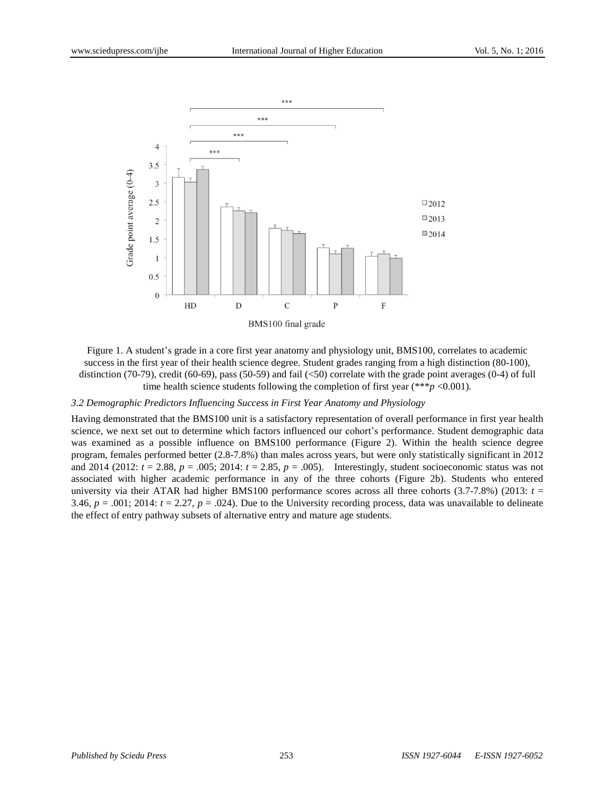

Figure 1. A student's grade in a core first year anatomy and physiology unit, BMS100, correlates to academic success in the first year of their health science degree. Student grades ranging from a high distinction (80-100), distinction (70-79), credit (60-69), pass (50-59) and fail (<50) correlate with the grade point averages (0-4) of full time health science students following the completion of first year (\*\*\**p* <0.001).

#### *3.2 Demographic Predictors Influencing Success in First Year Anatomy and Physiology*

Having demonstrated that the BMS100 unit is a satisfactory representation of overall performance in first year health science, we next set out to determine which factors influenced our cohort's performance. Student demographic data was examined as a possible influence on BMS100 performance (Figure 2). Within the health science degree program, females performed better (2.8-7.8%) than males across years, but were only statistically significant in 2012 and 2014 (2012:  $t = 2.88$ ,  $p = .005$ ; 2014:  $t = 2.85$ ,  $p = .005$ ). Interestingly, student socioeconomic status was not associated with higher academic performance in any of the three cohorts (Figure 2b). Students who entered university via their ATAR had higher BMS100 performance scores across all three cohorts (3.7-7.8%) (2013: *t* = 3.46,  $p = .001$ ; 2014:  $t = 2.27$ ,  $p = .024$ ). Due to the University recording process, data was unavailable to delineate the effect of entry pathway subsets of alternative entry and mature age students.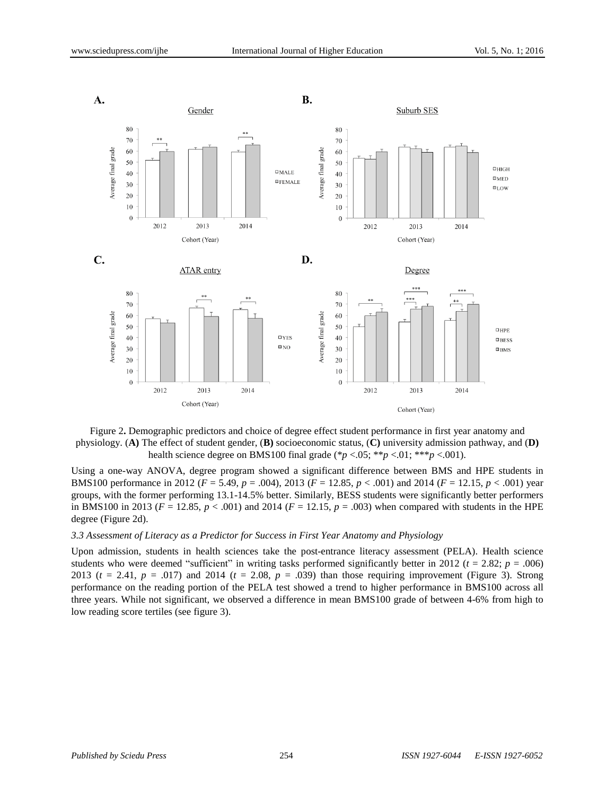

Figure 2**.** Demographic predictors and choice of degree effect student performance in first year anatomy and physiology. (**A)** The effect of student gender, (**B)** socioeconomic status, (**C)** university admission pathway, and (**D)** health science degree on BMS100 final grade (\**p* <.05; \*\**p* <.01; \*\*\**p* <.001).

Using a one-way ANOVA, degree program showed a significant difference between BMS and HPE students in BMS100 performance in 2012 (*F* = 5.49, *p* = .004), 2013 (*F* = 12.85, *p* < .001) and 2014 (*F* = 12.15, *p* < .001) year groups, with the former performing 13.1-14.5% better. Similarly, BESS students were significantly better performers in BMS100 in 2013 ( $F = 12.85$ ,  $p < .001$ ) and 2014 ( $F = 12.15$ ,  $p = .003$ ) when compared with students in the HPE degree (Figure 2d).

#### *3.3 Assessment of Literacy as a Predictor for Success in First Year Anatomy and Physiology*

Upon admission, students in health sciences take the post-entrance literacy assessment (PELA). Health science students who were deemed "sufficient" in writing tasks performed significantly better in 2012 ( $t = 2.82$ ;  $p = .006$ ) 2013 (*t* = 2.41, *p* = .017) and 2014 (*t* = 2.08, *p* = .039) than those requiring improvement (Figure 3). Strong performance on the reading portion of the PELA test showed a trend to higher performance in BMS100 across all three years. While not significant, we observed a difference in mean BMS100 grade of between 4-6% from high to low reading score tertiles (see figure 3).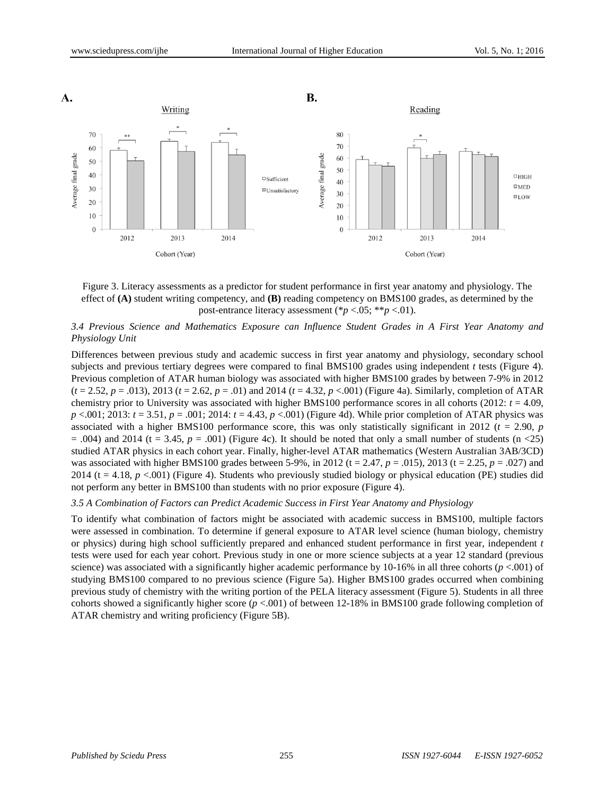

Figure 3. Literacy assessments as a predictor for student performance in first year anatomy and physiology. The effect of **(A)** student writing competency, and **(B)** reading competency on BMS100 grades, as determined by the post-entrance literacy assessment (\**p* <.05; \*\**p* <.01).

## *3.4 Previous Science and Mathematics Exposure can Influence Student Grades in A First Year Anatomy and Physiology Unit*

Differences between previous study and academic success in first year anatomy and physiology, secondary school subjects and previous tertiary degrees were compared to final BMS100 grades using independent *t* tests (Figure 4). Previous completion of ATAR human biology was associated with higher BMS100 grades by between 7-9% in 2012 (*t* = 2.52, *p* = .013), 2013 (*t* = 2.62, *p* = .01) and 2014 (*t* = 4.32, *p* <.001) (Figure 4a). Similarly, completion of ATAR chemistry prior to University was associated with higher BMS100 performance scores in all cohorts (2012:  $t = 4.09$ , *p* <.001; 2013: *t* = 3.51, *p* = .001; 2014: *t* = 4.43, *p* <.001) (Figure 4d). While prior completion of ATAR physics was associated with a higher BMS100 performance score, this was only statistically significant in 2012 ( $t = 2.90$ ,  $p$ )  $= .004$ ) and 2014 (t  $= 3.45$ ,  $p = .001$ ) (Figure 4c). It should be noted that only a small number of students (n <25) studied ATAR physics in each cohort year. Finally, higher-level ATAR mathematics (Western Australian 3AB/3CD) was associated with higher BMS100 grades between 5-9%, in 2012 (t = 2.47,  $p = .015$ ), 2013 (t = 2.25,  $p = .027$ ) and 2014 (t = 4.18, *p* <.001) (Figure 4). Students who previously studied biology or physical education (PE) studies did not perform any better in BMS100 than students with no prior exposure (Figure 4).

### *3.5 A Combination of Factors can Predict Academic Success in First Year Anatomy and Physiology*

To identify what combination of factors might be associated with academic success in BMS100, multiple factors were assessed in combination. To determine if general exposure to ATAR level science (human biology, chemistry or physics) during high school sufficiently prepared and enhanced student performance in first year, independent *t* tests were used for each year cohort. Previous study in one or more science subjects at a year 12 standard (previous science) was associated with a significantly higher academic performance by 10-16% in all three cohorts ( $p$  <.001) of studying BMS100 compared to no previous science (Figure 5a). Higher BMS100 grades occurred when combining previous study of chemistry with the writing portion of the PELA literacy assessment (Figure 5). Students in all three cohorts showed a significantly higher score (*p* <.001) of between 12-18% in BMS100 grade following completion of ATAR chemistry and writing proficiency (Figure 5B).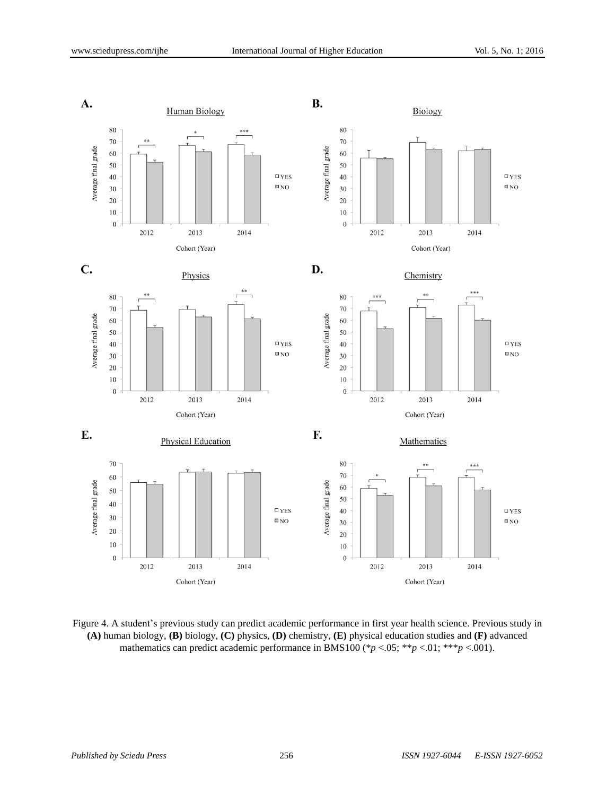

Figure 4. A student's previous study can predict academic performance in first year health science. Previous study in **(A)** human biology, **(B)** biology, **(C)** physics, **(D)** chemistry, **(E)** physical education studies and **(F)** advanced mathematics can predict academic performance in BMS100 (\* $p < .05$ ; \*\* $p < .01$ ; \*\*\* $p < .001$ ).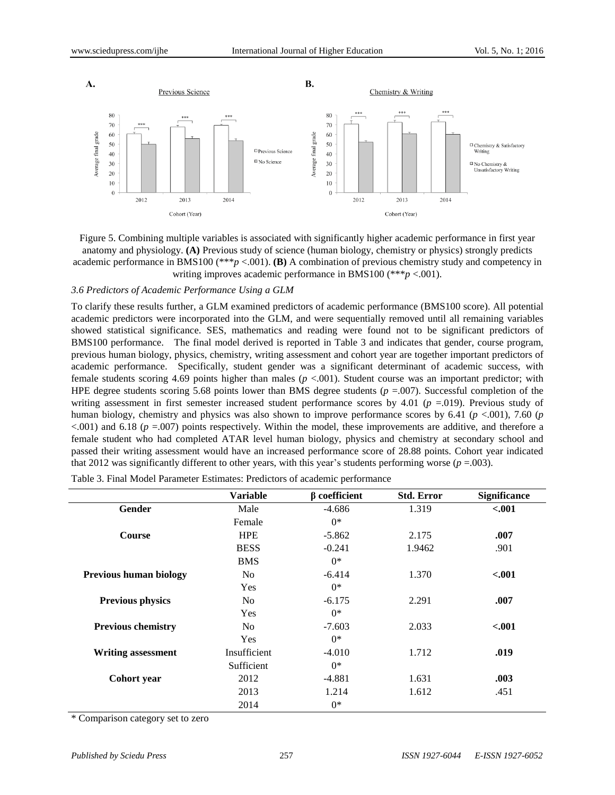

Figure 5. Combining multiple variables is associated with significantly higher academic performance in first year anatomy and physiology. **(A)** Previous study of science (human biology, chemistry or physics) strongly predicts academic performance in BMS100 (\*\*\**p* <.001). **(B)** A combination of previous chemistry study and competency in writing improves academic performance in BMS100 (\*\*\**p* <.001).

#### *3.6 Predictors of Academic Performance Using a GLM*

To clarify these results further, a GLM examined predictors of academic performance (BMS100 score). All potential academic predictors were incorporated into the GLM, and were sequentially removed until all remaining variables showed statistical significance. SES, mathematics and reading were found not to be significant predictors of BMS100 performance. The final model derived is reported in Table 3 and indicates that gender, course program, previous human biology, physics, chemistry, writing assessment and cohort year are together important predictors of academic performance. Specifically, student gender was a significant determinant of academic success, with female students scoring 4.69 points higher than males (*p* <.001). Student course was an important predictor; with HPE degree students scoring 5.68 points lower than BMS degree students ( $p = .007$ ). Successful completion of the writing assessment in first semester increased student performance scores by 4.01 (*p* =.019). Previous study of human biology, chemistry and physics was also shown to improve performance scores by 6.41 (*p* <.001), 7.60 (*p*  $\leq$ .001) and 6.18 ( $p = 0.007$ ) points respectively. Within the model, these improvements are additive, and therefore a female student who had completed ATAR level human biology, physics and chemistry at secondary school and passed their writing assessment would have an increased performance score of 28.88 points. Cohort year indicated that 2012 was significantly different to other years, with this year's students performing worse ( $p = .003$ ).

|                               | <b>Variable</b> | $\beta$ coefficient | <b>Std. Error</b> | <b>Significance</b> |
|-------------------------------|-----------------|---------------------|-------------------|---------------------|
| Gender                        | Male            | $-4.686$            | 1.319             | $-.001$             |
|                               | Female          | $0^*$               |                   |                     |
| <b>Course</b>                 | <b>HPE</b>      | $-5.862$            | 2.175             | .007                |
|                               | <b>BESS</b>     | $-0.241$            | 1.9462            | .901                |
|                               | <b>BMS</b>      | $0*$                |                   |                     |
| <b>Previous human biology</b> | No.             | $-6.414$            | 1.370             | $-.001$             |
|                               | <b>Yes</b>      | $0^*$               |                   |                     |
| <b>Previous physics</b>       | No.             | $-6.175$            | 2.291             | .007                |
|                               | <b>Yes</b>      | $0^*$               |                   |                     |
| <b>Previous chemistry</b>     | No.             | $-7.603$            | 2.033             | $-.001$             |
|                               | <b>Yes</b>      | $0^*$               |                   |                     |
| <b>Writing assessment</b>     | Insufficient    | $-4.010$            | 1.712             | .019                |
|                               | Sufficient      | $0*$                |                   |                     |
| Cohort year                   | 2012            | $-4.881$            | 1.631             | .003                |
|                               | 2013            | 1.214               | 1.612             | .451                |
|                               | 2014            | $0*$                |                   |                     |

Table 3. Final Model Parameter Estimates: Predictors of academic performance

\* Comparison category set to zero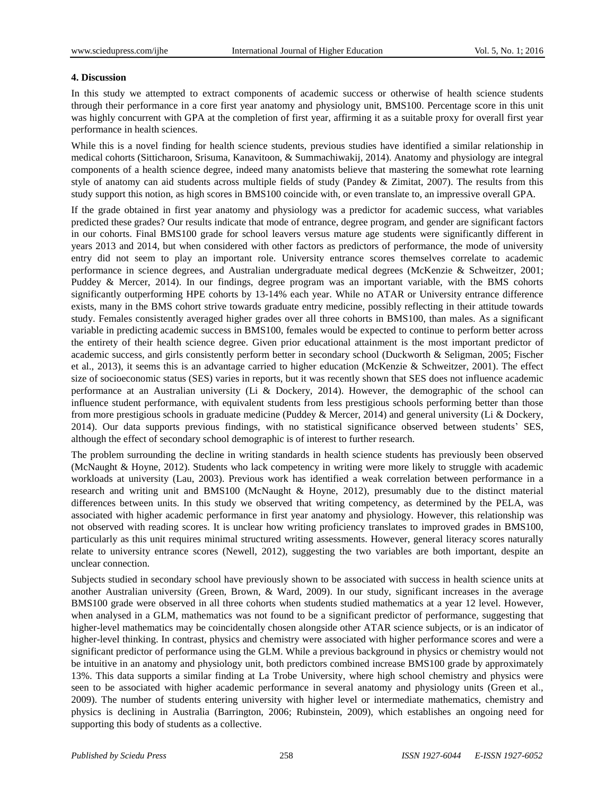### **4. Discussion**

In this study we attempted to extract components of academic success or otherwise of health science students through their performance in a core first year anatomy and physiology unit, BMS100. Percentage score in this unit was highly concurrent with GPA at the completion of first year, affirming it as a suitable proxy for overall first year performance in health sciences.

While this is a novel finding for health science students, previous studies have identified a similar relationship in medical cohorts (Sitticharoon, Srisuma, Kanavitoon, & [Summachiwakij,](#page-12-1) 2014). Anatomy and physiology are integral components of a health science degree, indeed many anatomists believe that mastering the somewhat rote learning style of anatomy can aid students across multiple fields of study (Pandey & Zimitat, 2007). The results from this study support this notion, as high scores in BMS100 coincide with, or even translate to, an impressive overall GPA.

If the grade obtained in first year anatomy and physiology was a predictor for academic success, what variables predicted these grades? Our results indicate that mode of entrance, degree program, and gender are significant factors in our cohorts. Final BMS100 grade for school leavers versus mature age students were significantly different in years 2013 and 2014, but when considered with other factors as predictors of performance, the mode of university entry did not seem to play an important role. University entrance scores themselves correlate to academic performance in science degrees, and Australian undergraduate medical degrees (McKenzie & Schweitzer, 2001; Puddey & Mercer, 2014). In our findings, degree program was an important variable, with the BMS cohorts significantly outperforming HPE cohorts by 13-14% each year. While no ATAR or University entrance difference exists, many in the BMS cohort strive towards graduate entry medicine, possibly reflecting in their attitude towards study. Females consistently averaged higher grades over all three cohorts in BMS100, than males. As a significant variable in predicting academic success in BMS100, females would be expected to continue to perform better across the entirety of their health science degree. Given prior educational attainment is the most important predictor of academic success, and girls consistently perform better in secondary school (Duckworth & Seligman, 2005; Fischer et al., 2013), it seems this is an advantage carried to higher education (McKenzie & Schweitzer, 2001). The effect size of socioeconomic status (SES) varies in reports, but it was recently shown that SES does not influence academic performance at an Australian university (Li & Dockery, 2014). However, the demographic of the school can influence student performance, with equivalent students from less prestigious schools performing better than those from more prestigious schools in graduate medicine (Puddey & Mercer, 2014) and general university (Li & Dockery, 2014). Our data supports previous findings, with no statistical significance observed between students' SES, although the effect of secondary school demographic is of interest to further research.

The problem surrounding the decline in writing standards in health science students has previously been observed (McNaught & Hoyne, 2012). Students who lack competency in writing were more likely to struggle with academic workloads at university (Lau, 2003). Previous work has identified a weak correlation between performance in a research and writing unit and BMS100 (McNaught & Hoyne, 2012), presumably due to the distinct material differences between units. In this study we observed that writing competency, as determined by the PELA, was associated with higher academic performance in first year anatomy and physiology. However, this relationship was not observed with reading scores. It is unclear how writing proficiency translates to improved grades in BMS100, particularly as this unit requires minimal structured writing assessments. However, general literacy scores naturally relate to university entrance scores (Newell, 2012), suggesting the two variables are both important, despite an unclear connection.

Subjects studied in secondary school have previously shown to be associated with success in health science units at another Australian university (Green, Brown, & Ward, 2009). In our study, significant increases in the average BMS100 grade were observed in all three cohorts when students studied mathematics at a year 12 level. However, when analysed in a GLM, mathematics was not found to be a significant predictor of performance, suggesting that higher-level mathematics may be coincidentally chosen alongside other ATAR science subjects, or is an indicator of higher-level thinking. In contrast, physics and chemistry were associated with higher performance scores and were a significant predictor of performance using the GLM. While a previous background in physics or chemistry would not be intuitive in an anatomy and physiology unit, both predictors combined increase BMS100 grade by approximately 13%. This data supports a similar finding at La Trobe University, where high school chemistry and physics were seen to be associated with higher academic performance in several anatomy and physiology units (Green et al., 2009). The number of students entering university with higher level or intermediate mathematics, chemistry and physics is declining in Australia (Barrington, 2006; Rubinstein, 2009), which establishes an ongoing need for supporting this body of students as a collective.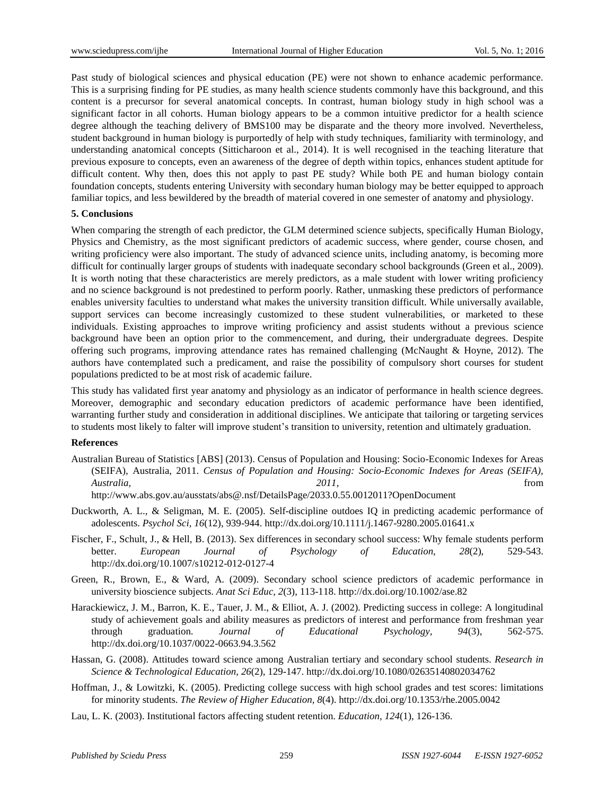Past study of biological sciences and physical education (PE) were not shown to enhance academic performance. This is a surprising finding for PE studies, as many health science students commonly have this background, and this content is a precursor for several anatomical concepts. In contrast, human biology study in high school was a significant factor in all cohorts. Human biology appears to be a common intuitive predictor for a health science degree although the teaching delivery of BMS100 may be disparate and the theory more involved. Nevertheless, student background in human biology is purportedly of help with study techniques, familiarity with terminology, and understanding anatomical concepts [\(Sitticharoon](#page-12-1) et al., 2014). It is well recognised in the teaching literature that previous exposure to concepts, even an awareness of the degree of depth within topics, enhances student aptitude for difficult content. Why then, does this not apply to past PE study? While both PE and human biology contain foundation concepts, students entering University with secondary human biology may be better equipped to approach familiar topics, and less bewildered by the breadth of material covered in one semester of anatomy and physiology.

### **5. Conclusions**

When comparing the strength of each predictor, the GLM determined science subjects, specifically Human Biology, Physics and Chemistry, as the most significant predictors of academic success, where gender, course chosen, and writing proficiency were also important. The study of advanced science units, including anatomy, is becoming more difficult for continually larger groups of students with inadequate secondary school backgrounds (Green et al., 2009). It is worth noting that these characteristics are merely predictors, as a male student with lower writing proficiency and no science background is not predestined to perform poorly. Rather, unmasking these predictors of performance enables university faculties to understand what makes the university transition difficult. While universally available, support services can become increasingly customized to these student vulnerabilities, or marketed to these individuals. Existing approaches to improve writing proficiency and assist students without a previous science background have been an option prior to the commencement, and during, their undergraduate degrees. Despite offering such programs, improving attendance rates has remained challenging (McNaught & Hoyne, 2012). The authors have contemplated such a predicament, and raise the possibility of compulsory short courses for student populations predicted to be at most risk of academic failure.

This study has validated first year anatomy and physiology as an indicator of performance in health science degrees. Moreover, demographic and secondary education predictors of academic performance have been identified, warranting further study and consideration in additional disciplines. We anticipate that tailoring or targeting services to students most likely to falter will improve student's transition to university, retention and ultimately graduation.

### **References**

Australian Bureau of Statistics [ABS] (2013). Census of Population and Housing: Socio-Economic Indexes for Areas (SEIFA), Australia, 2011. *Census of Population and Housing: Socio-Economic Indexes for Areas (SEIFA), Australia, 2011*, from http://www.abs.gov.au/ausstats/abs@.nsf/DetailsPage/2033.0.55.0012011?OpenDocument

Duckworth, A. L., & Seligman, M. E. (2005). Self-discipline outdoes IQ in predicting academic performance of adolescents. *Psychol Sci, 16*(12), 939-944. http://dx.doi.org/10.1111/j.1467-9280.2005.01641.x

- Fischer, F., Schult, J., & Hell, B. (2013). Sex differences in secondary school success: Why female students perform better. *European Journal of Psychology of Education, 28*(2), 529-543. http://dx.doi.org/10.1007/s10212-012-0127-4
- Green, R., Brown, E., & Ward, A. (2009). Secondary school science predictors of academic performance in university bioscience subjects. *Anat Sci Educ, 2*(3), 113-118. http://dx.doi.org/10.1002/ase.82
- Harackiewicz, J. M., Barron, K. E., Tauer, J. M., & Elliot, A. J. (2002). Predicting success in college: A longitudinal study of achievement goals and ability measures as predictors of interest and performance from freshman year through graduation. *Journal of Educational Psychology, 94*(3), 562-575. http://dx.doi.org/10.1037/0022-0663.94.3.562
- Hassan, G. (2008). Attitudes toward science among Australian tertiary and secondary school students. *Research in Science & Technological Education, 26*(2), 129-147. http://dx.doi.org/10.1080/02635140802034762
- Hoffman, J., & Lowitzki, K. (2005). Predicting college success with high school grades and test scores: limitations for minority students. *The Review of Higher Education, 8*(4). http://dx.doi.org/10.1353/rhe.2005.0042
- Lau, L. K. (2003). Institutional factors affecting student retention. *Education, 124*(1), 126-136.